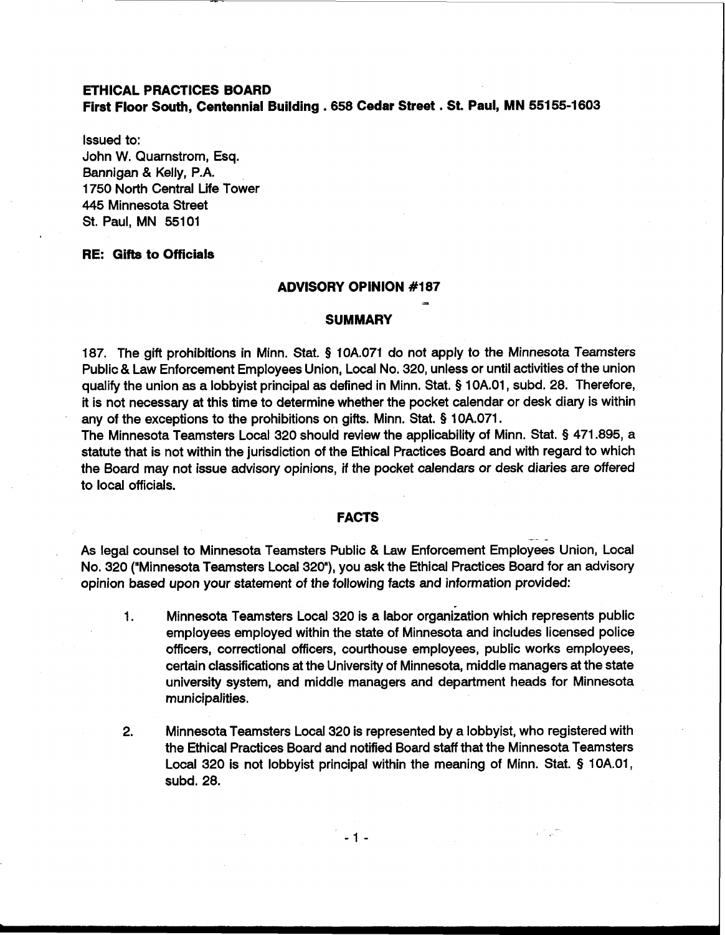# **ETHICAL PRACTICES BOARD First Floor South, Centennial Building** . **658 Cedar Street** . **St. Paul, MN 551 55-1603**

Issued to: John W. Quarnstrom, Esq. Bannigan & Kelly, P.A. 1750 North Central Life Tower 445 Minnesota Street St. Paul, MN 55101

# **RE: Gifts to Officials**

#### **ADVISORY OPINION #I87**

**s** 

#### **SUMMARY**

187. The gift prohibitions in Minn. Stat. **9** 10A.071 do not apply to the Minnesota Teamsters Public & Law Enforcement Employees Union, Local No. 320, unless or until activities of the union qualify the union as a lobbyist principal as defined in Minn. Stat. **5** 1 0A.01, subd. 28. Therefore, it is not necessary at this time to determine whether the pocket calendar or desk diary is within any of the exceptions to the prohibitions on gifts. Minn. Stat. § 10A.071.

The Minnesota Teamsters Local 320 should review the applicability of Minn. Stat. § 471.895, a statute that is not within the jurisdiction of the Ethical Practices Board and with regard to which the Board may not issue advisory opinions, if the pocket calendars or desk diaries are offered to local officials.

#### **FACTS**

- - As legal counsel to Minnesota Teamsters Public & Law Enforcement Employees Union, Local No. 320 ("Minnesota Teamsters Local 320"), you ask the Ethical Practices Board for an advisory opinion based upon your statement of the following facts and information provided:

- 1. Minnesota Teamsters Local 320 is a labor organization which represents public employees employed within the state of Minnesota and includes licensed police officers, correctional officers, courthouse employees, public works employees, certain classifications at the University of Minnesota, middle managers at the state university system, and middle managers and department heads for Minnesota municipalities.
- 2. Minnesota Teamsters Local 320 is represented by a lobbyist, who registered with the Ethical Practices Board and notified Board staff that the Minnesota Teamsters Local 320 is not lobbyist principal within the meaning of Minn. Stat. § IOA.01, subd. 28.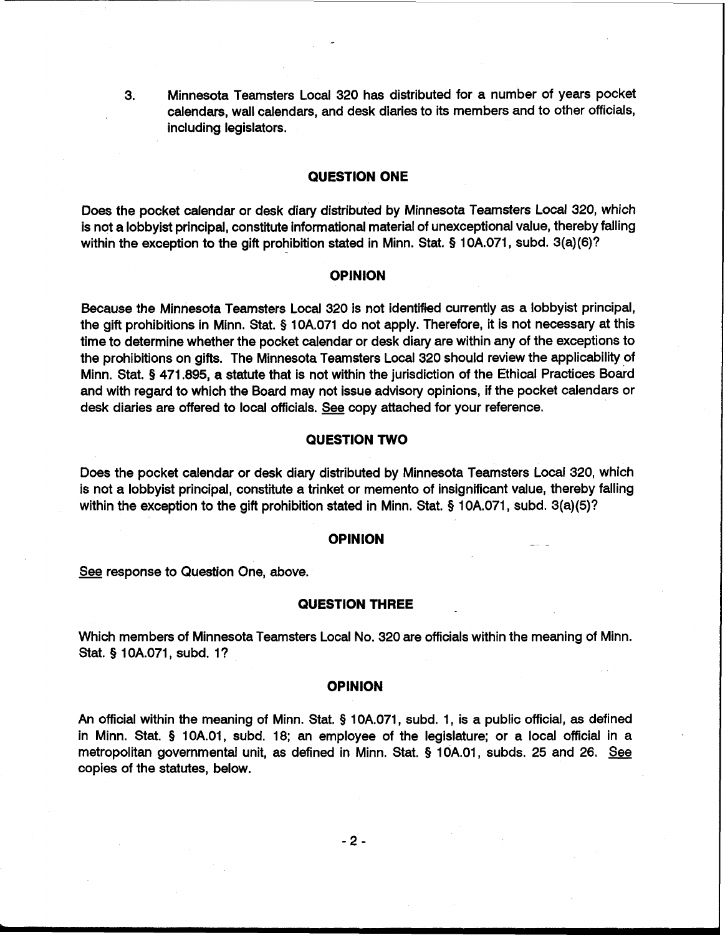3. Minnesota Teamsters Local 320 has distributed for a number of years pocket calendars, wall calendars, and desk diaries to its members and to other officials, including legislators.

# **QUESTION ONE**

Does the pocket calendar or desk diary distributed by Minnesota Teamsters Local 320, which is not a lobbyist principal, constitute informational material of unexceptional value, thereby falling within the exception to the gift prohibition stated in Minn. Stat. **9** 10A.071, subd. 3(a)(6)?

## **OPINION**

Because the Minnesota Teamsters Local 320 is not identified currently as a lobbyist principal, the gift prohibitions in Minn. Stat. § 10A.071 do not apply. Therefore, it is not necessary at this time to determine whether the pocket calendar or desk diary are within any of the exceptions to the prohibitions on gifts. The Minnesota Teamsters Local 320 should review the applicability of Minn. Stat. § 471.895, a statute that is not within the jurisdiction of the Ethical Practices Board and with regard to which the Board may not issue advisory opinions, if the pocket calendars or<br>desk diaries are offered to local officials. <u>See</u> copy attached for your reference.

### **QUESTION TWO**

Does the pocket calendar or desk diary distributed by Minnesota Teamsters Local 320, which is not a lobbyist principal, constitute a trinket or memento of insignificant value, thereby falling within the exception to the gift prohibition stated in Minn. Stat. **5** 10A.071, subd. 3(a)(5)?

#### **OPINION**

See response to Question One, above.

#### **QUESTION THREE**

Which members of Minnesota Teamsters Local No. 320 are officials within the meaning of Minn. Stat. **9** 10A.071, subd. I?

#### **OPINION**

An official within the meaning of Minn. Stat. **5** 10A.071, subd. 1, is a public official, as defined in Minn. Stat. **5** 10A.O1, subd. 18; an employee of the legislature; or a local official in a metropolitan governmental unit, as defined in Minn. Stat. **5** 1 OA.01, subds. 25 and 26. copies of the statutes, below.

 $-2-$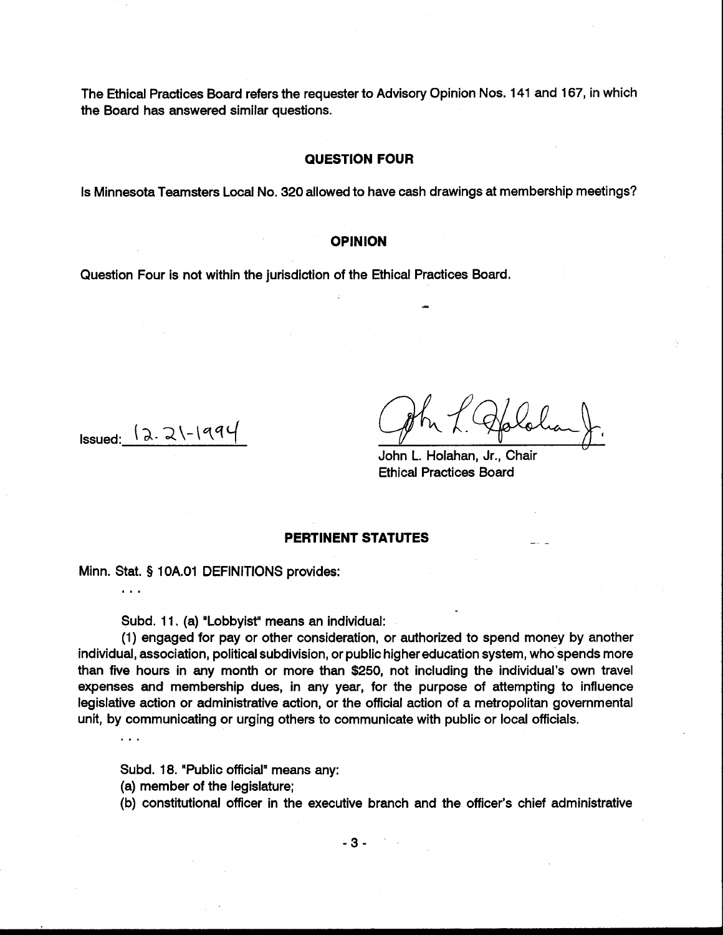The Ethical Practices Board refers the requester to Advisory Opinion Nos. 141 and 167, in which the Board has answered similar questions.

## **QUESTION FOUR**

Is Minnesota Teamsters Local No. 320 allowed to have cash drawings at membership meetings?

### **OPINION**

Question Four is not within the jurisdiction of the Ethical Practices Board.

 $I$ ssued:  $\sqrt{2.2}$  $\sqrt{-199}$ 

 $\mathbf{1}$ 

 $\mathbf{1}$ 

John L. Holahan, Jr., Chair Ethical Practices Board

=

#### **PERTINENT STATUTES**

Minn. Stat. § 1 OA.O1 DEFINITIONS provides:

Subd. 11. (a) "Lobbyist" means an individual:

(1) engaged for pay or other consideration, or authorized to spend money by another individual, association, political subdivision, or public higher education system, who spends more than five hours in any month or more than \$250, not including the individual's own travel expenses and membership dues, in any year, for the purpose of attempting to influence legislative action or administrative action, or the official action of a metropolitan governmental unit, by communicating or urging others to communicate with public or local officials.

Subd. 18. "Public official" means any:

(a) member of the legislature;

(b) constitutional officer in the executive branch and the officer's chief administrative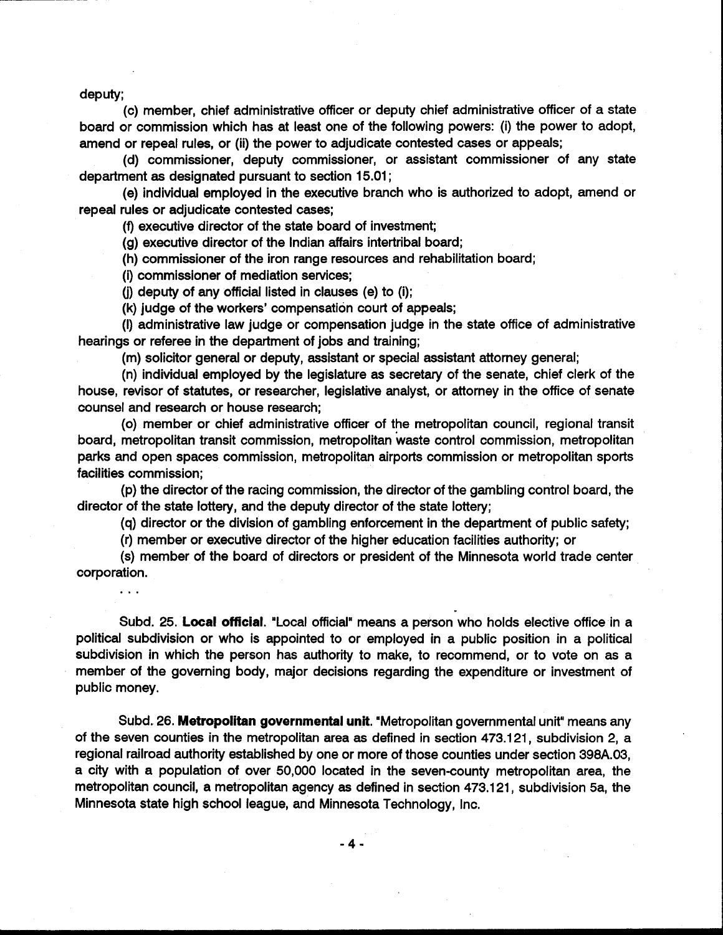deputy;

. . .

(c) member, chief administrative officer or deputy chief administrative officer of a state board or commission which has at least one of the following powers: (i) the power to adopt, amend or repeal rules, or (ii) the power to adjudicate contested cases or appeals;

(d) commissioner, deputy commissioner, or assistant commissioner of any state department as designated pursuant to section 15.01 ;

(e) individual employed in the executive branch who is authorized to adopt, amend or repeal rules or adjudicate contested cases;

(f) executive director of the state board of investment;

(g) executive director of the Indian affairs intertribal board;

(h) commissioner of the iron range resources and rehabilitation board;

(i) commissioner of mediation services;

(j) deputy of any official listed in clauses (e) to (i);

(k) judge of the workers' compensation court of appeals;

(I) administrative law judge or compensation judge in the state office of administrative hearings or referee in the department of jobs and training;

(m) solicitor general or deputy, assistant or special assistant attorney general;

(n) individual employed by the legislature as secretary of the senate, chief clerk of the house, revisor of statutes, or researcher, legislative analyst, or attorney in the office of senate counsel and research or house research;

(0) member or chief administrative officer of the metropolitan council, regional transit board, metropolitan transit commission, metropolitan waste control commission, metropolitan parks and open spaces commission, metropolitan airports commission or metropolitan sports facilities commission;

(p) the director of the racing commission, the director of the gambling control board, the director of the state lottery, and the deputy director of the state lottery;

(q) director or the division of gambling enforcement in the department of public safety;

(r) member or executive director of the higher education facilities authority; or

(s) member of the board of directors or president of the Minnesota world trade center corporation.

Subd. 25. **Local official.** "Local official"means a person who holds elective office in a political subdivision or who is appointed to or employed in a public position in a political subdivision in which the person has authority to make, to recommend, or to vote on as a member of the governing body, major decisions regarding the expenditure or investment of public money.

Subd. 26. **Metropolitan governmental unit.** "Metropolitan governmental unit" means any of the seven counties in the metropolitan area as defined in section 473.121, subdivision 2, a regional railroad authority established by one or more of those counties under section **398A.03,**  a city with a population of over 50,000 located in the seven-county metropolitan area, the metropolitan council, a metropolitan agency as defined in section 473.121, subdivision 5a, the Minnesota state high school league, and Minnesota Technology, Inc.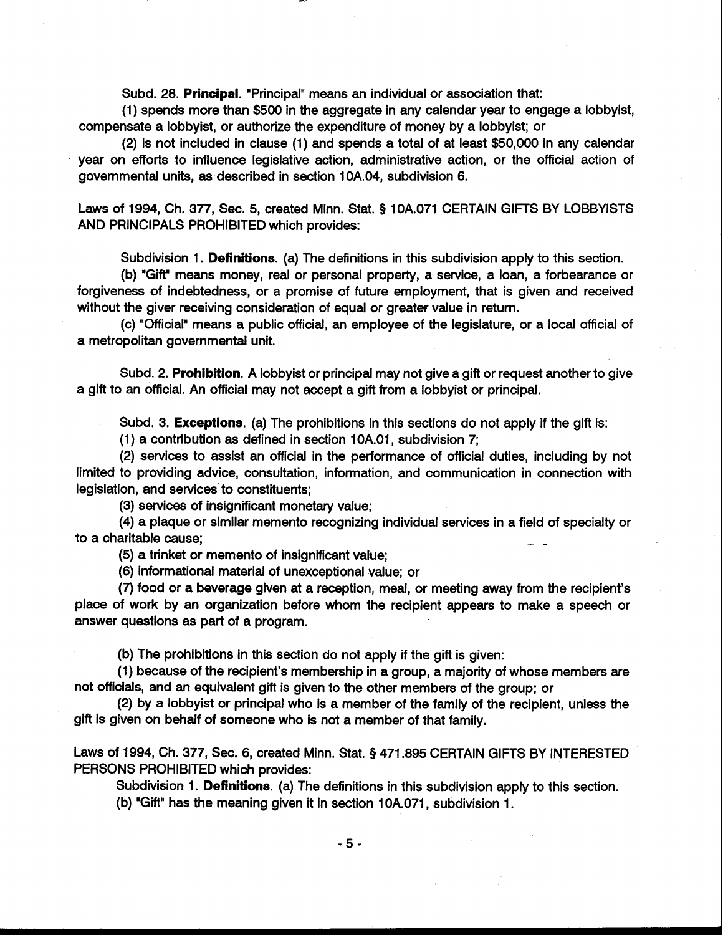Subd. 28. **Principal.** 'Principal"means an individual or association that:

(1) spends more than \$500 in the aggregate in any calendar year to engage a lobbyist, compensate a lobbyist, or authorize the expenditure of money by a lobbyist; or

(2) is not included in clause (1) and spends a total of at least \$50,000 in any calendar year on efforts to influence legislative action, administrative action, or the official action of governmental units, as described in section 10A.04, subdivision 6.

Laws of 1994, Ch. 377, Sec. 5, created Minn. Stat. **Q** 1 0A.071 CERTAIN GIFTS BY LOBBYISTS AND PRINCIPALS PROHIBITED which provides:

Subdivision 1. **Definitions.** (a) The definitions in this subdivision apply to this section.

(b) 'Gift" means money, real or personal property, a service, a loan, a forbearance or forgiveness of indebtedness, or a promise of future employment, that is given and received without the giver receiving consideration of equal or greater value in return.

(c) 'Official" means a public official, an employee of the legislature, or a local official of a metropolitan governmental unit.

Subd. 2. **Prohibition.** A lobbyist or principal may not give a gift or request another to give a gift to an official. An official may not accept a gift from a lobbyist or principal.

Subd. 3. **Exceptions.** (a) The prohibitions in this sections do not apply if the gift is:

(1) a contribution as defined in section 1 OA.O1, subdivision 7;

(2) services to assist an official in the performance of official duties, including by not limited to providing advice, consultation, information, and communication in connection with legislation, and services to constituents;

(3) services of insignificant monetary value;

(4) a plaque or similar memento recognizing individual services in a field of specialty or to a charitable cause;

(5) a trinket or memento of insignificant value;

(6) informational material of unexceptional value; or

(7) food or a beverage given at a reception, meal, or meeting away from the recipient's place of work by an organization before whom the recipient appears to make a speech or answer questions as part of a program.

(b) The prohibitions in this section do not apply if the gift is given:

(1) because of the recipient's membership in a group, a majority of whose members are not officials, and an equivalent gift is given to the other members of the group; or

(2) by a lobbyist or principal who is a member of the family of the recipient, unless the gift is given on behalf of someone who is not a member of that family.

Laws of 1994, Ch. 377, Sec. 6, created Minn. Stat. **5** 471.895 CERTAIN GIFTS BY INTERESTED PERSONS PROHIBITED which provides:

Subdivision 1. **Definitions.** (a) The definitions in this subdivision apply to this section.

(b) "Gift" has the meaning given it in section 10A.071, subdivision 1.